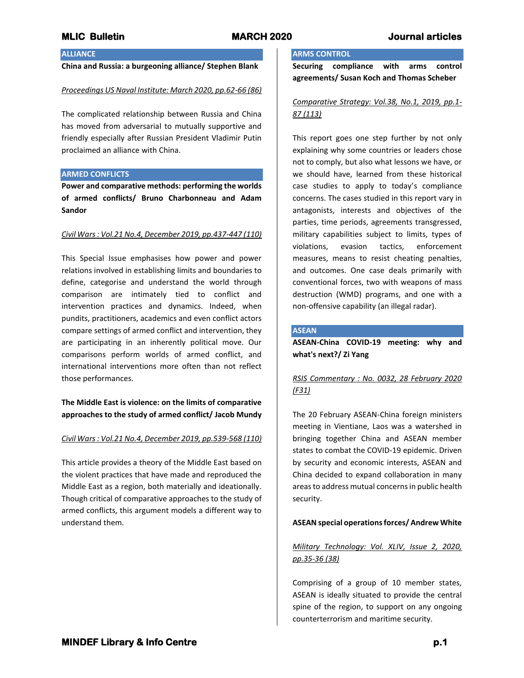## **ALLIANCE**

**China and Russia: a burgeoning alliance/ Stephen Blank**

### *Proceedings US Naval Institute: March 2020, pp.62-66 (86)*

The complicated relationship between Russia and China has moved from adversarial to mutually supportive and friendly especially after Russian President Vladimir Putin proclaimed an alliance with China.

### **ARMED CONFLICTS**

**Power and comparative methods: performing the worlds of armed conflicts/ Bruno Charbonneau and Adam Sandor**

### *Civil Wars : Vol.21 No.4, December 2019, pp.437-447 (110)*

This Special Issue emphasises how power and power relations involved in establishing limits and boundaries to define, categorise and understand the world through comparison are intimately tied to conflict and intervention practices and dynamics. Indeed, when pundits, practitioners, academics and even conflict actors compare settings of armed conflict and intervention, they are participating in an inherently political move. Our comparisons perform worlds of armed conflict, and international interventions more often than not reflect those performances.

**The Middle East is violence: on the limits of comparative approaches to the study of armed conflict/ Jacob Mundy**

## *Civil Wars : Vol.21 No.4, December 2019, pp.539-568 (110)*

This article provides a theory of the Middle East based on the violent practices that have made and reproduced the Middle East as a region, both materially and ideationally. Though critical of comparative approaches to the study of armed conflicts, this argument models a different way to understand them.

## **ARMS CONTROL**

**Securing compliance with arms control agreements/ Susan Koch and Thomas Scheber**

## *Comparative Strategy: Vol.38, No.1, 2019, pp.1- 87 (113)*

This report goes one step further by not only explaining why some countries or leaders chose not to comply, but also what lessons we have, or we should have, learned from these historical case studies to apply to today's compliance concerns. The cases studied in this report vary in antagonists, interests and objectives of the parties, time periods, agreements transgressed, military capabilities subject to limits, types of violations, evasion tactics, enforcement measures, means to resist cheating penalties, and outcomes. One case deals primarily with conventional forces, two with weapons of mass destruction (WMD) programs, and one with a non-offensive capability (an illegal radar).

## **ASEAN**

**ASEAN-China COVID-19 meeting: why and what's next?/ Zi Yang**

# *RSIS Commentary : No. 0032, 28 February 2020 (F31)*

The 20 February ASEAN-China foreign ministers meeting in Vientiane, Laos was a watershed in bringing together China and ASEAN member states to combat the COVID-19 epidemic. Driven by security and economic interests, ASEAN and China decided to expand collaboration in many areas to address mutual concerns in public health security.

## **ASEAN special operations forces/ Andrew White**

## *Military Technology: Vol. XLIV, Issue 2, 2020, pp.35-36 (38)*

Comprising of a group of 10 member states, ASEAN is ideally situated to provide the central spine of the region, to support on any ongoing counterterrorism and maritime security.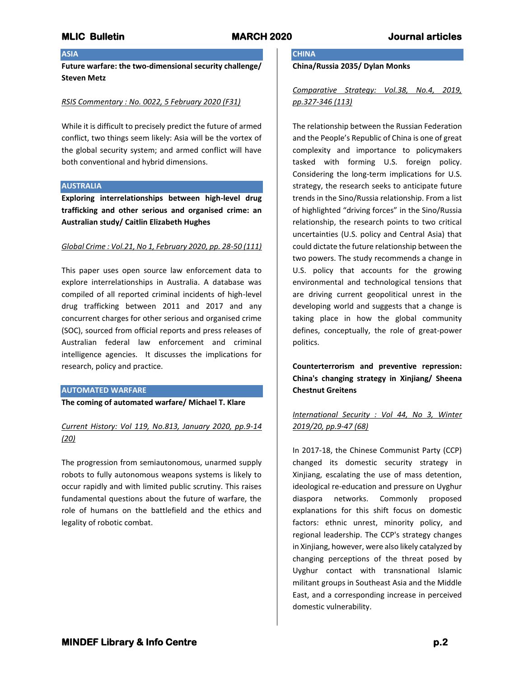## **ASIA**

**Future warfare: the two-dimensional security challenge/ Steven Metz**

## *RSIS Commentary : No. 0022, 5 February 2020 (F31)*

While it is difficult to precisely predict the future of armed conflict, two things seem likely: Asia will be the vortex of the global security system; and armed conflict will have both conventional and hybrid dimensions.

## **AUSTRALIA**

**Exploring interrelationships between high-level drug trafficking and other serious and organised crime: an Australian study/ Caitlin Elizabeth Hughes**

## *Global Crime : Vol.21, No 1, February 2020, pp. 28-50 (111)*

This paper uses open source law enforcement data to explore interrelationships in Australia. A database was compiled of all reported criminal incidents of high-level drug trafficking between 2011 and 2017 and any concurrent charges for other serious and organised crime (SOC), sourced from official reports and press releases of Australian federal law enforcement and criminal intelligence agencies. It discusses the implications for research, policy and practice.

## **AUTOMATED WARFARE**

**The coming of automated warfare/ Michael T. Klare**

*Current History: Vol 119, No.813, January 2020, pp.9-14 (20)*

The progression from semiautonomous, unarmed supply robots to fully autonomous weapons systems is likely to occur rapidly and with limited public scrutiny. This raises fundamental questions about the future of warfare, the role of humans on the battlefield and the ethics and legality of robotic combat.

# **CHINA**

**China/Russia 2035/ Dylan Monks**

# *Comparative Strategy: Vol.38, No.4, 2019, pp.327-346 (113)*

The relationship between the Russian Federation and the People's Republic of China is one of great complexity and importance to policymakers tasked with forming U.S. foreign policy. Considering the long-term implications for U.S. strategy, the research seeks to anticipate future trends in the Sino/Russia relationship. From a list of highlighted "driving forces" in the Sino/Russia relationship, the research points to two critical uncertainties (U.S. policy and Central Asia) that could dictate the future relationship between the two powers. The study recommends a change in U.S. policy that accounts for the growing environmental and technological tensions that are driving current geopolitical unrest in the developing world and suggests that a change is taking place in how the global community defines, conceptually, the role of great-power politics.

**Counterterrorism and preventive repression: China's changing strategy in Xinjiang/ Sheena Chestnut Greitens**

# *International Security : Vol 44, No 3, Winter 2019/20, pp.9-47 (68)*

In 2017-18, the Chinese Communist Party (CCP) changed its domestic security strategy in Xinjiang, escalating the use of mass detention, ideological re-education and pressure on Uyghur diaspora networks. Commonly proposed explanations for this shift focus on domestic factors: ethnic unrest, minority policy, and regional leadership. The CCP's strategy changes in Xinjiang, however, were also likely catalyzed by changing perceptions of the threat posed by Uyghur contact with transnational Islamic militant groups in Southeast Asia and the Middle East, and a corresponding increase in perceived domestic vulnerability.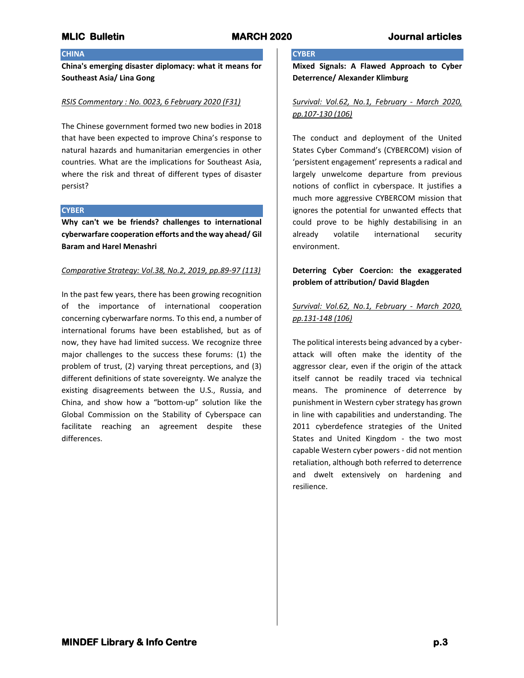## **CHINA**

**China's emerging disaster diplomacy: what it means for Southeast Asia/ Lina Gong**

## *RSIS Commentary : No. 0023, 6 February 2020 (F31)*

The Chinese government formed two new bodies in 2018 that have been expected to improve China's response to natural hazards and humanitarian emergencies in other countries. What are the implications for Southeast Asia, where the risk and threat of different types of disaster persist?

### **CYBER**

**Why can't we be friends? challenges to international cyberwarfare cooperation efforts and the way ahead/ Gil Baram and Harel Menashri**

## *Comparative Strategy: Vol.38, No.2, 2019, pp.89-97 (113)*

In the past few years, there has been growing recognition of the importance of international cooperation concerning cyberwarfare norms. To this end, a number of international forums have been established, but as of now, they have had limited success. We recognize three major challenges to the success these forums: (1) the problem of trust, (2) varying threat perceptions, and (3) different definitions of state sovereignty. We analyze the existing disagreements between the U.S., Russia, and China, and show how a "bottom-up" solution like the Global Commission on the Stability of Cyberspace can facilitate reaching an agreement despite these differences.

# **CYBER**

**Mixed Signals: A Flawed Approach to Cyber Deterrence/ Alexander Klimburg**

## *Survival: Vol.62, No.1, February - March 2020, pp.107-130 (106)*

The conduct and deployment of the United States Cyber Command's (CYBERCOM) vision of 'persistent engagement' represents a radical and largely unwelcome departure from previous notions of conflict in cyberspace. It justifies a much more aggressive CYBERCOM mission that ignores the potential for unwanted effects that could prove to be highly destabilising in an already volatile international security environment.

# **Deterring Cyber Coercion: the exaggerated problem of attribution/ David Blagden**

# *Survival: Vol.62, No.1, February - March 2020, pp.131-148 (106)*

The political interests being advanced by a cyberattack will often make the identity of the aggressor clear, even if the origin of the attack itself cannot be readily traced via technical means. The prominence of deterrence by punishment in Western cyber strategy has grown in line with capabilities and understanding. The 2011 cyberdefence strategies of the United States and United Kingdom - the two most capable Western cyber powers - did not mention retaliation, although both referred to deterrence and dwelt extensively on hardening and resilience.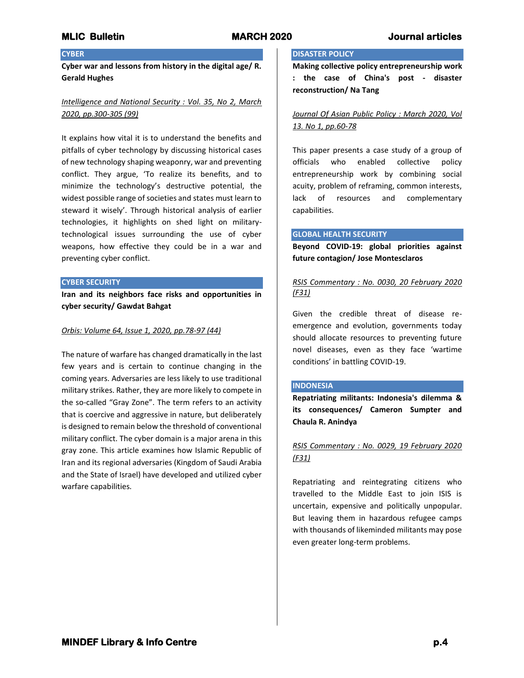## **CYBER**

**Cyber war and lessons from history in the digital age/ R. Gerald Hughes**

# *Intelligence and National Security : Vol. 35, No 2, March 2020, pp.300-305 (99)*

It explains how vital it is to understand the benefits and pitfalls of cyber technology by discussing historical cases of new technology shaping weaponry, war and preventing conflict. They argue, 'To realize its benefits, and to minimize the technology's destructive potential, the widest possible range of societies and states must learn to steward it wisely'. Through historical analysis of earlier technologies, it highlights on shed light on militarytechnological issues surrounding the use of cyber weapons, how effective they could be in a war and preventing cyber conflict.

### **CYBER SECURITY**

**Iran and its neighbors face risks and opportunities in cyber security/ Gawdat Bahgat**

### *Orbis: Volume 64, Issue 1, 2020, pp.78-97 (44)*

The nature of warfare has changed dramatically in the last few years and is certain to continue changing in the coming years. Adversaries are less likely to use traditional military strikes. Rather, they are more likely to compete in the so-called "Gray Zone". The term refers to an activity that is coercive and aggressive in nature, but deliberately is designed to remain below the threshold of conventional military conflict. The cyber domain is a major arena in this gray zone. This article examines how Islamic Republic of Iran and its regional adversaries (Kingdom of Saudi Arabia and the State of Israel) have developed and utilized cyber warfare capabilities.

## **DISASTER POLICY**

**Making collective policy entrepreneurship work : the case of China's post - disaster reconstruction/ Na Tang**

*Journal Of Asian Public Policy : March 2020, Vol 13. No 1, pp.60-78*

This paper presents a case study of a group of officials who enabled collective policy entrepreneurship work by combining social acuity, problem of reframing, common interests, lack of resources and complementary capabilities.

### **GLOBAL HEALTH SECURITY**

**Beyond COVID-19: global priorities against future contagion/ Jose Montesclaros**

## *RSIS Commentary : No. 0030, 20 February 2020 (F31)*

Given the credible threat of disease reemergence and evolution, governments today should allocate resources to preventing future novel diseases, even as they face 'wartime conditions' in battling COVID-19.

## **INDONESIA**

**Repatriating militants: Indonesia's dilemma & its consequences/ Cameron Sumpter and Chaula R. Anindya**

# *RSIS Commentary : No. 0029, 19 February 2020 (F31)*

Repatriating and reintegrating citizens who travelled to the Middle East to join ISIS is uncertain, expensive and politically unpopular. But leaving them in hazardous refugee camps with thousands of likeminded militants may pose even greater long-term problems.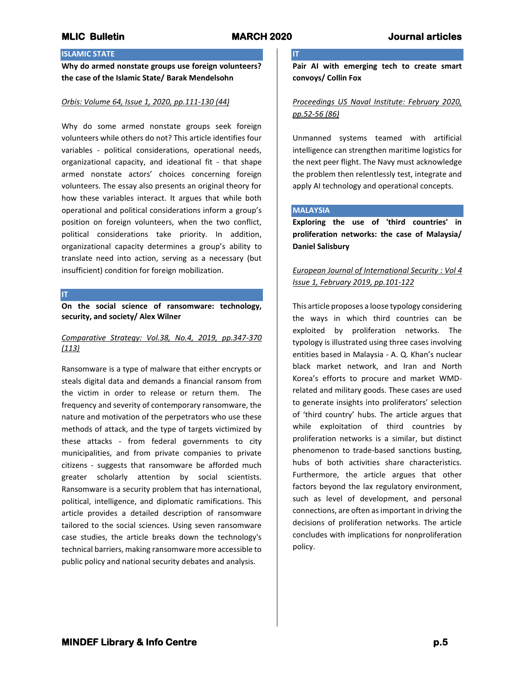**IT**

# **ISLAMIC STATE**

**Why do armed nonstate groups use foreign volunteers? the case of the Islamic State/ Barak Mendelsohn**

## *Orbis: Volume 64, Issue 1, 2020, pp.111-130 (44)*

Why do some armed nonstate groups seek foreign volunteers while others do not? This article identifies four variables - political considerations, operational needs, organizational capacity, and ideational fit - that shape armed nonstate actors' choices concerning foreign volunteers. The essay also presents an original theory for how these variables interact. It argues that while both operational and political considerations inform a group's position on foreign volunteers, when the two conflict, political considerations take priority. In addition, organizational capacity determines a group's ability to translate need into action, serving as a necessary (but insufficient) condition for foreign mobilization.

**IT**

**On the social science of ransomware: technology, security, and society/ Alex Wilner**

## *Comparative Strategy: Vol.38, No.4, 2019, pp.347-370 (113)*

Ransomware is a type of malware that either encrypts or steals digital data and demands a financial ransom from the victim in order to release or return them. The frequency and severity of contemporary ransomware, the nature and motivation of the perpetrators who use these methods of attack, and the type of targets victimized by these attacks - from federal governments to city municipalities, and from private companies to private citizens - suggests that ransomware be afforded much greater scholarly attention by social scientists. Ransomware is a security problem that has international, political, intelligence, and diplomatic ramifications. This article provides a detailed description of ransomware tailored to the social sciences. Using seven ransomware case studies, the article breaks down the technology's technical barriers, making ransomware more accessible to public policy and national security debates and analysis.

**Pair AI with emerging tech to create smart convoys/ Collin Fox**

## *Proceedings US Naval Institute: February 2020, pp.52-56 (86)*

Unmanned systems teamed with artificial intelligence can strengthen maritime logistics for the next peer flight. The Navy must acknowledge the problem then relentlessly test, integrate and apply AI technology and operational concepts.

## **MALAYSIA**

**Exploring the use of 'third countries' in proliferation networks: the case of Malaysia/ Daniel Salisbury**

# *European Journal of International Security : Vol 4 Issue 1, February 2019, pp.101-122*

This article proposes a loose typology considering the ways in which third countries can be exploited by proliferation networks. The typology is illustrated using three cases involving entities based in Malaysia - A. Q. Khan's nuclear black market network, and Iran and North Korea's efforts to procure and market WMDrelated and military goods. These cases are used to generate insights into proliferators' selection of 'third country' hubs. The article argues that while exploitation of third countries by proliferation networks is a similar, but distinct phenomenon to trade-based sanctions busting, hubs of both activities share characteristics. Furthermore, the article argues that other factors beyond the lax regulatory environment, such as level of development, and personal connections, are often as important in driving the decisions of proliferation networks. The article concludes with implications for nonproliferation policy.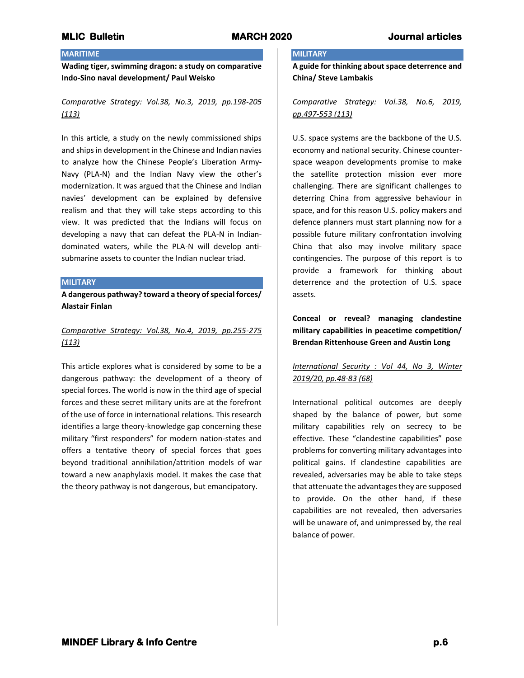## **MARITIME**

**Wading tiger, swimming dragon: a study on comparative Indo-Sino naval development/ Paul Weisko**

# *Comparative Strategy: Vol.38, No.3, 2019, pp.198-205 (113)*

In this article, a study on the newly commissioned ships and ships in development in the Chinese and Indian navies to analyze how the Chinese People's Liberation Army-Navy (PLA-N) and the Indian Navy view the other's modernization. It was argued that the Chinese and Indian navies' development can be explained by defensive realism and that they will take steps according to this view. It was predicted that the Indians will focus on developing a navy that can defeat the PLA-N in Indiandominated waters, while the PLA-N will develop antisubmarine assets to counter the Indian nuclear triad.

## **MILITARY**

**A dangerous pathway? toward a theory of special forces/ Alastair Finlan**

# *Comparative Strategy: Vol.38, No.4, 2019, pp.255-275 (113)*

This article explores what is considered by some to be a dangerous pathway: the development of a theory of special forces. The world is now in the third age of special forces and these secret military units are at the forefront of the use of force in international relations. This research identifies a large theory-knowledge gap concerning these military "first responders" for modern nation-states and offers a tentative theory of special forces that goes beyond traditional annihilation/attrition models of war toward a new anaphylaxis model. It makes the case that the theory pathway is not dangerous, but emancipatory.

## **MILITARY**

**A guide for thinking about space deterrence and China/ Steve Lambakis**

## *Comparative Strategy: Vol.38, No.6, 2019, pp.497-553 (113)*

U.S. space systems are the backbone of the U.S. economy and national security. Chinese counterspace weapon developments promise to make the satellite protection mission ever more challenging. There are significant challenges to deterring China from aggressive behaviour in space, and for this reason U.S. policy makers and defence planners must start planning now for a possible future military confrontation involving China that also may involve military space contingencies. The purpose of this report is to provide a framework for thinking about deterrence and the protection of U.S. space assets.

**Conceal or reveal? managing clandestine military capabilities in peacetime competition/ Brendan Rittenhouse Green and Austin Long**

# *International Security : Vol 44, No 3, Winter 2019/20, pp.48-83 (68)*

International political outcomes are deeply shaped by the balance of power, but some military capabilities rely on secrecy to be effective. These "clandestine capabilities" pose problems for converting military advantages into political gains. If clandestine capabilities are revealed, adversaries may be able to take steps that attenuate the advantages they are supposed to provide. On the other hand, if these capabilities are not revealed, then adversaries will be unaware of, and unimpressed by, the real balance of power.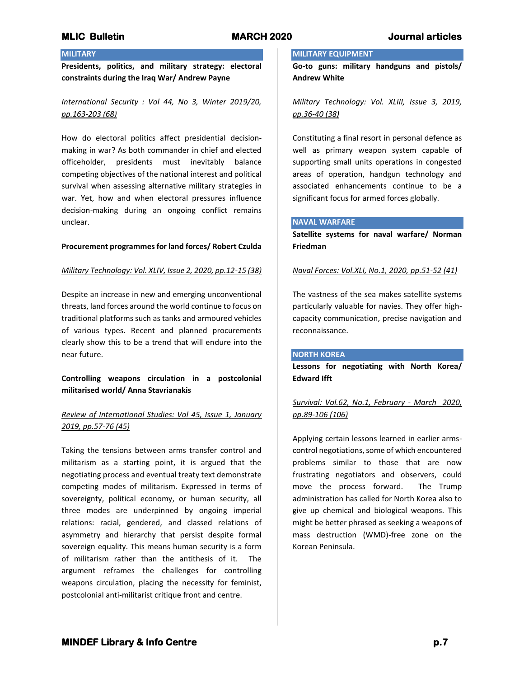# **MILITARY**

**Presidents, politics, and military strategy: electoral constraints during the Iraq War/ Andrew Payne**

# *International Security : Vol 44, No 3, Winter 2019/20, pp.163-203 (68)*

How do electoral politics affect presidential decisionmaking in war? As both commander in chief and elected officeholder, presidents must inevitably balance competing objectives of the national interest and political survival when assessing alternative military strategies in war. Yet, how and when electoral pressures influence decision-making during an ongoing conflict remains unclear.

### **Procurement programmes for land forces/ Robert Czulda**

## *Military Technology: Vol. XLIV, Issue 2, 2020, pp.12-15 (38)*

Despite an increase in new and emerging unconventional threats, land forces around the world continue to focus on traditional platforms such as tanks and armoured vehicles of various types. Recent and planned procurements clearly show this to be a trend that will endure into the near future.

## **Controlling weapons circulation in a postcolonial militarised world/ Anna Stavrianakis**

# *Review of International Studies: Vol 45, Issue 1, January 2019, pp.57-76 (45)*

Taking the tensions between arms transfer control and militarism as a starting point, it is argued that the negotiating process and eventual treaty text demonstrate competing modes of militarism. Expressed in terms of sovereignty, political economy, or human security, all three modes are underpinned by ongoing imperial relations: racial, gendered, and classed relations of asymmetry and hierarchy that persist despite formal sovereign equality. This means human security is a form of militarism rather than the antithesis of it. The argument reframes the challenges for controlling weapons circulation, placing the necessity for feminist, postcolonial anti-militarist critique front and centre.

# **MILITARY EQUIPMENT**

**Go-to guns: military handguns and pistols/ Andrew White**

## *Military Technology: Vol. XLIII, Issue 3, 2019, pp.36-40 (38)*

Constituting a final resort in personal defence as well as primary weapon system capable of supporting small units operations in congested areas of operation, handgun technology and associated enhancements continue to be a significant focus for armed forces globally.

## **NAVAL WARFARE**

**Satellite systems for naval warfare/ Norman Friedman**

## *Naval Forces: Vol.XLI, No.1, 2020, pp.51-52 (41)*

The vastness of the sea makes satellite systems particularly valuable for navies. They offer highcapacity communication, precise navigation and reconnaissance.

### **NORTH KOREA**

**Lessons for negotiating with North Korea/ Edward Ifft**

# *Survival: Vol.62, No.1, February - March 2020, pp.89-106 (106)*

Applying certain lessons learned in earlier armscontrol negotiations, some of which encountered problems similar to those that are now frustrating negotiators and observers, could move the process forward. The Trump administration has called for North Korea also to give up chemical and biological weapons. This might be better phrased as seeking a weapons of mass destruction (WMD)-free zone on the Korean Peninsula.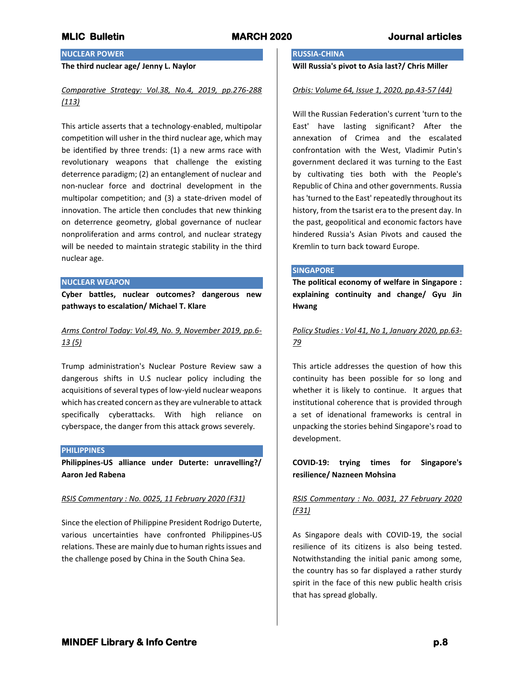# **NUCLEAR POWER**

## **The third nuclear age/ Jenny L. Naylor**

## *Comparative Strategy: Vol.38, No.4, 2019, pp.276-288 (113)*

This article asserts that a technology-enabled, multipolar competition will usher in the third nuclear age, which may be identified by three trends: (1) a new arms race with revolutionary weapons that challenge the existing deterrence paradigm; (2) an entanglement of nuclear and non-nuclear force and doctrinal development in the multipolar competition; and (3) a state-driven model of innovation. The article then concludes that new thinking on deterrence geometry, global governance of nuclear nonproliferation and arms control, and nuclear strategy will be needed to maintain strategic stability in the third nuclear age.

### **NUCLEAR WEAPON**

**Cyber battles, nuclear outcomes? dangerous new pathways to escalation/ Michael T. Klare**

# *Arms Control Today: Vol.49, No. 9, November 2019, pp.6- 13 (5)*

Trump administration's Nuclear Posture Review saw a dangerous shifts in U.S nuclear policy including the acquisitions of several types of low-yield nuclear weapons which has created concern as they are vulnerable to attack specifically cyberattacks. With high reliance on cyberspace, the danger from this attack grows severely.

### **PHILIPPINES**

**Philippines-US alliance under Duterte: unravelling?/ Aaron Jed Rabena**

## *RSIS Commentary : No. 0025, 11 February 2020 (F31)*

Since the election of Philippine President Rodrigo Duterte, various uncertainties have confronted Philippines-US relations. These are mainly due to human rights issues and the challenge posed by China in the South China Sea.

## **RUSSIA-CHINA**

# **Will Russia's pivot to Asia last?/ Chris Miller**

### *Orbis: Volume 64, Issue 1, 2020, pp.43-57 (44)*

Will the Russian Federation's current 'turn to the East' have lasting significant? After the annexation of Crimea and the escalated confrontation with the West, Vladimir Putin's government declared it was turning to the East by cultivating ties both with the People's Republic of China and other governments. Russia has 'turned to the East' repeatedly throughout its history, from the tsarist era to the present day. In the past, geopolitical and economic factors have hindered Russia's Asian Pivots and caused the Kremlin to turn back toward Europe.

### **SINGAPORE**

**The political economy of welfare in Singapore : explaining continuity and change/ Gyu Jin Hwang**

# *Policy Studies : Vol 41, No 1, January 2020, pp.63- 79*

This article addresses the question of how this continuity has been possible for so long and whether it is likely to continue. It argues that institutional coherence that is provided through a set of idenational frameworks is central in unpacking the stories behind Singapore's road to development.

**COVID-19: trying times for Singapore's resilience/ Nazneen Mohsina**

# *RSIS Commentary : No. 0031, 27 February 2020 (F31)*

As Singapore deals with COVID-19, the social resilience of its citizens is also being tested. Notwithstanding the initial panic among some, the country has so far displayed a rather sturdy spirit in the face of this new public health crisis that has spread globally.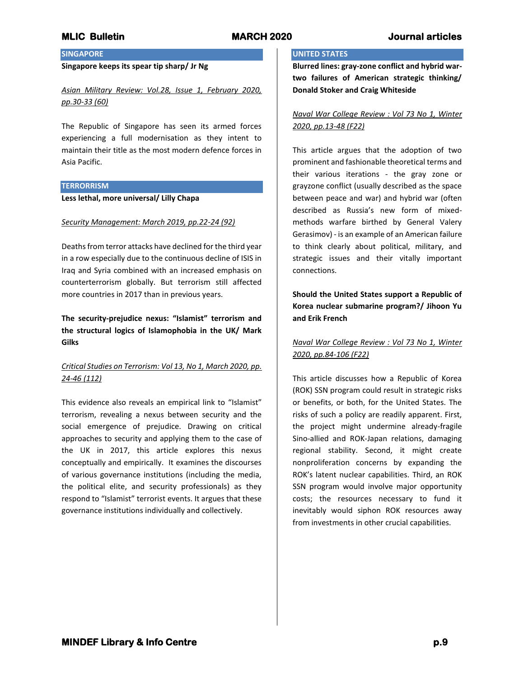## **SINGAPORE**

## **Singapore keeps its spear tip sharp/ Jr Ng**

*Asian Military Review: Vol.28, Issue 1, February 2020, pp.30-33 (60)*

The Republic of Singapore has seen its armed forces experiencing a full modernisation as they intent to maintain their title as the most modern defence forces in Asia Pacific.

## **TERRORRISM**

**Less lethal, more universal/ Lilly Chapa**

## *Security Management: March 2019, pp.22-24 (92)*

Deaths from terror attacks have declined for the third year in a row especially due to the continuous decline of ISIS in Iraq and Syria combined with an increased emphasis on counterterrorism globally. But terrorism still affected more countries in 2017 than in previous years.

**The security-prejudice nexus: "Islamist" terrorism and the structural logics of Islamophobia in the UK/ Mark Gilks**

# *Critical Studies on Terrorism: Vol 13, No 1, March 2020, pp. 24-46 (112)*

This evidence also reveals an empirical link to "Islamist" terrorism, revealing a nexus between security and the social emergence of prejudice. Drawing on critical approaches to security and applying them to the case of the UK in 2017, this article explores this nexus conceptually and empirically. It examines the discourses of various governance institutions (including the media, the political elite, and security professionals) as they respond to "Islamist" terrorist events. It argues that these governance institutions individually and collectively.

## **UNITED STATES**

**Blurred lines: gray-zone conflict and hybrid wartwo failures of American strategic thinking/ Donald Stoker and Craig Whiteside**

## *Naval War College Review : Vol 73 No 1, Winter 2020, pp.13-48 (F22)*

This article argues that the adoption of two prominent and fashionable theoretical terms and their various iterations - the gray zone or grayzone conflict (usually described as the space between peace and war) and hybrid war (often described as Russia's new form of mixedmethods warfare birthed by General Valery Gerasimov) - is an example of an American failure to think clearly about political, military, and strategic issues and their vitally important connections.

**Should the United States support a Republic of Korea nuclear submarine program?/ Jihoon Yu and Erik French**

*Naval War College Review : Vol 73 No 1, Winter 2020, pp.84-106 (F22)*

This article discusses how a Republic of Korea (ROK) SSN program could result in strategic risks or benefits, or both, for the United States. The risks of such a policy are readily apparent. First, the project might undermine already-fragile Sino-allied and ROK-Japan relations, damaging regional stability. Second, it might create nonproliferation concerns by expanding the ROK's latent nuclear capabilities. Third, an ROK SSN program would involve major opportunity costs; the resources necessary to fund it inevitably would siphon ROK resources away from investments in other crucial capabilities.